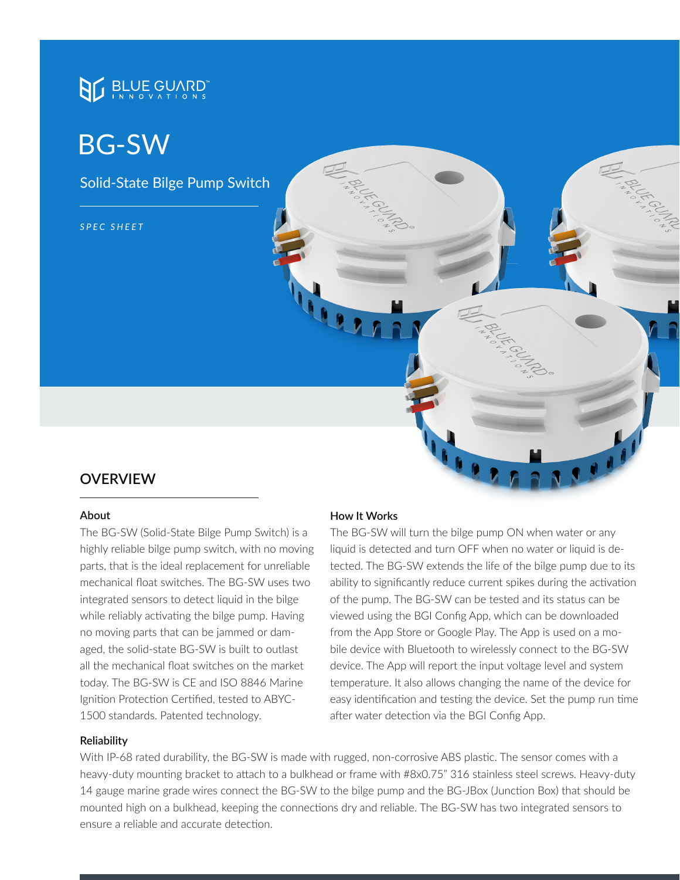# **BLUE GUARD**

# BG-SW

Solid-State Bilge Pump Switch

*SPEC SHEET*

### **OVERVIEW**

#### **About**

The BG-SW (Solid-State Bilge Pump Switch) is a highly reliable bilge pump switch, with no moving parts, that is the ideal replacement for unreliable mechanical float switches. The BG-SW uses two integrated sensors to detect liquid in the bilge while reliably activating the bilge pump. Having no moving parts that can be jammed or damaged, the solid-state BG-SW is built to outlast all the mechanical float switches on the market today. The BG-SW is CE and ISO 8846 Marine Ignition Protection Certified, tested to ABYC-1500 standards. Patented technology.

#### **Reliability**

#### **How It Works**

The BG-SW will turn the bilge pump ON when water or any liquid is detected and turn OFF when no water or liquid is detected. The BG-SW extends the life of the bilge pump due to its ability to significantly reduce current spikes during the activation of the pump. The BG-SW can be tested and its status can be viewed using the BGI Config App, which can be downloaded from the App Store or Google Play. The App is used on a mobile device with Bluetooth to wirelessly connect to the BG-SW device. The App will report the input voltage level and system temperature. It also allows changing the name of the device for easy identification and testing the device. Set the pump run time after water detection via the BGI Config App.

With IP-68 rated durability, the BG-SW is made with rugged, non-corrosive ABS plastic. The sensor comes with a heavy-duty mounting bracket to attach to a bulkhead or frame with #8x0.75" 316 stainless steel screws. Heavy-duty 14 gauge marine grade wires connect the BG-SW to the bilge pump and the BG-JBox (Junction Box) that should be mounted high on a bulkhead, keeping the connections dry and reliable. The BG-SW has two integrated sensors to ensure a reliable and accurate detection.